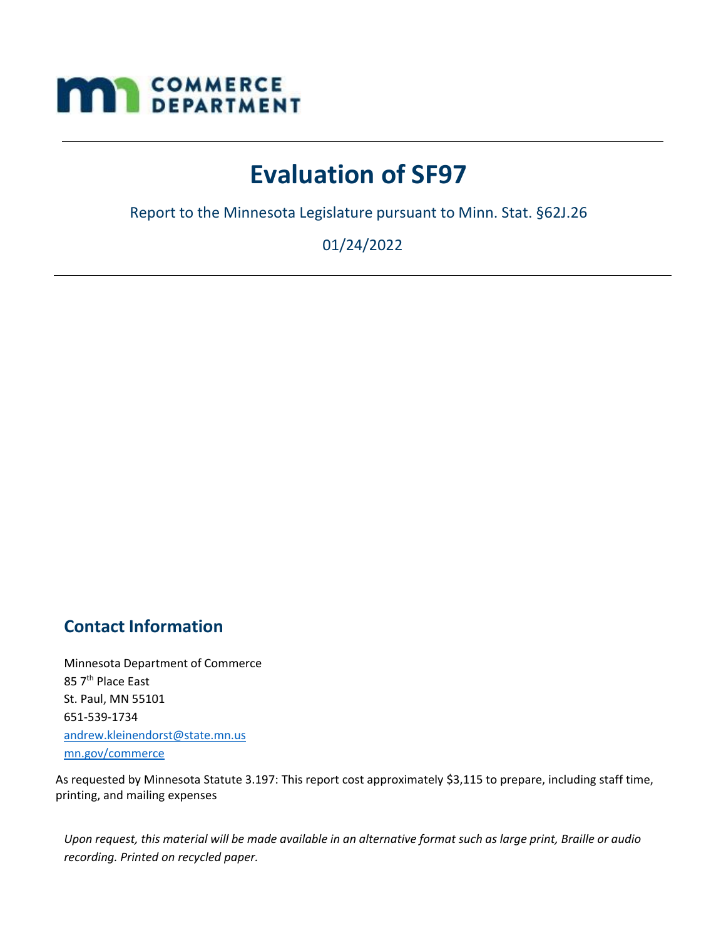# **MAN** COMMERCE

## **Evaluation of SF97**

Report to the Minnesota Legislature pursuant to Minn. Stat. §62J.26

01/24/2022

## **Contact Information**

Minnesota Department of Commerce 85 7<sup>th</sup> Place East St. Paul, MN 55101 651-539-1734 [andrew.kleinendorst@state.mn.us](mailto:andrew.kleinendorst@state.mn.us) mn.gov/commerce

As requested by Minnesota Statute 3.197: This report cost approximately \$3,115 to prepare, including staff time, printing, and mailing expenses

Upon request, this material will be made available in an alternative format such as large print, Braille or audio *recording. Printed on recycled paper.*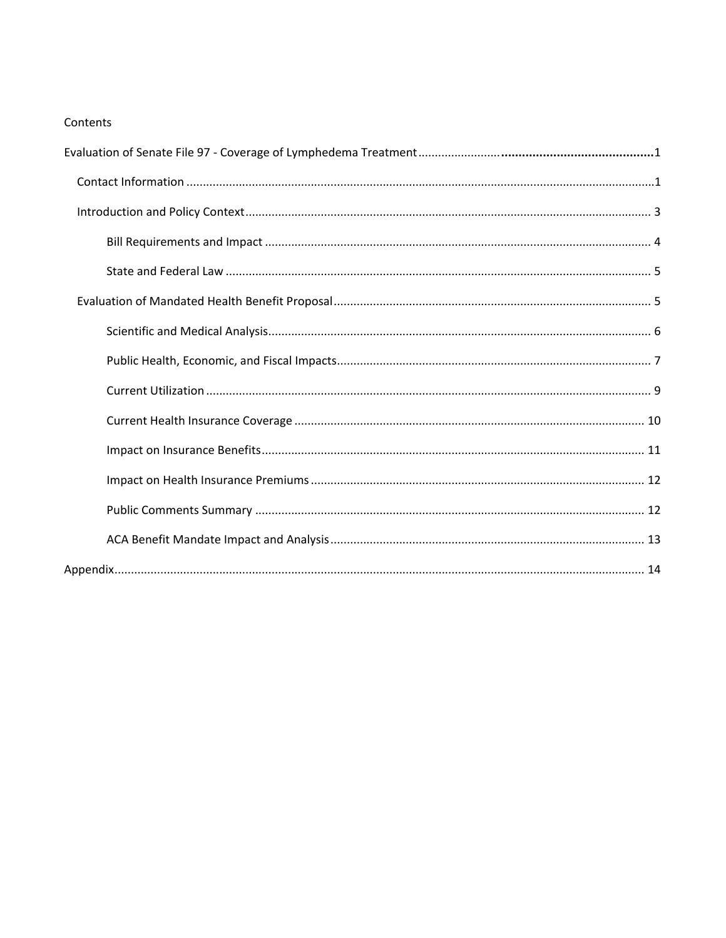#### Contents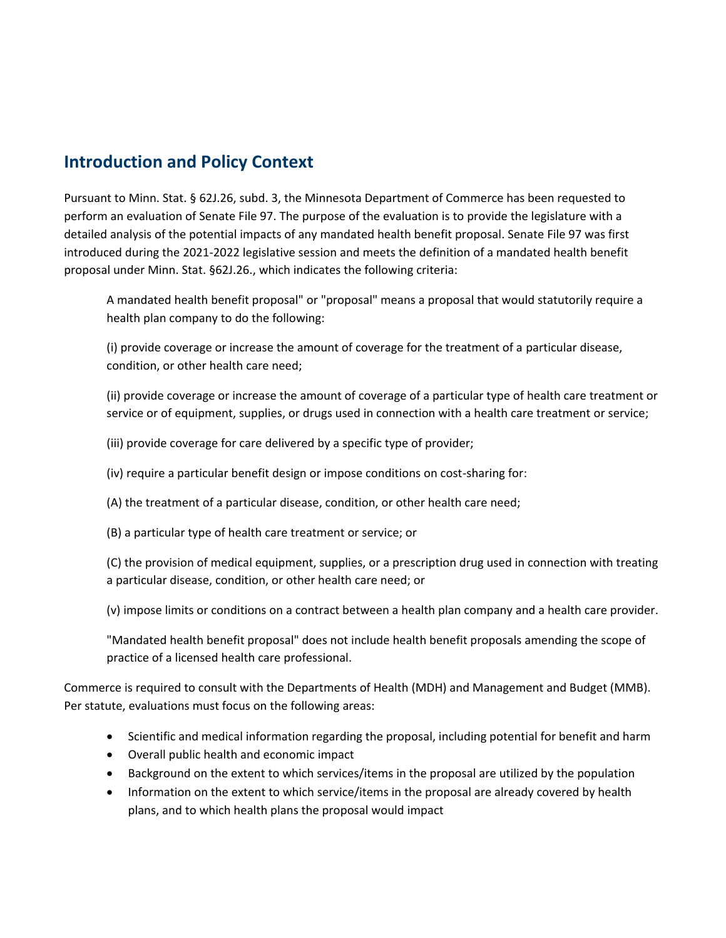### <span id="page-2-0"></span>**Introduction and Policy Context**

Pursuant to Minn. Stat. § 62J.26, subd. 3, the Minnesota Department of Commerce has been requested to perform an evaluation of Senate File 97. The purpose of the evaluation is to provide the legislature with a detailed analysis of the potential impacts of any mandated health benefit proposal. Senate File 97 was first introduced during the 2021-2022 legislative session and meets the definition of a mandated health benefit proposal under Minn. Stat. §62J.26., which indicates the following criteria:

A mandated health benefit proposal" or "proposal" means a proposal that would statutorily require a health plan company to do the following:

(i) provide coverage or increase the amount of coverage for the treatment of a particular disease, condition, or other health care need;

(ii) provide coverage or increase the amount of coverage of a particular type of health care treatment or service or of equipment, supplies, or drugs used in connection with a health care treatment or service;

(iii) provide coverage for care delivered by a specific type of provider;

(iv) require a particular benefit design or impose conditions on cost-sharing for:

(A) the treatment of a particular disease, condition, or other health care need;

(B) a particular type of health care treatment or service; or

(C) the provision of medical equipment, supplies, or a prescription drug used in connection with treating a particular disease, condition, or other health care need; or

(v) impose limits or conditions on a contract between a health plan company and a health care provider.

"Mandated health benefit proposal" does not include health benefit proposals amending the scope of practice of a licensed health care professional.

Commerce is required to consult with the Departments of Health (MDH) and Management and Budget (MMB). Per statute, evaluations must focus on the following areas:

- Scientific and medical information regarding the proposal, including potential for benefit and harm
- Overall public health and economic impact
- Background on the extent to which services/items in the proposal are utilized by the population
- Information on the extent to which service/items in the proposal are already covered by health plans, and to which health plans the proposal would impact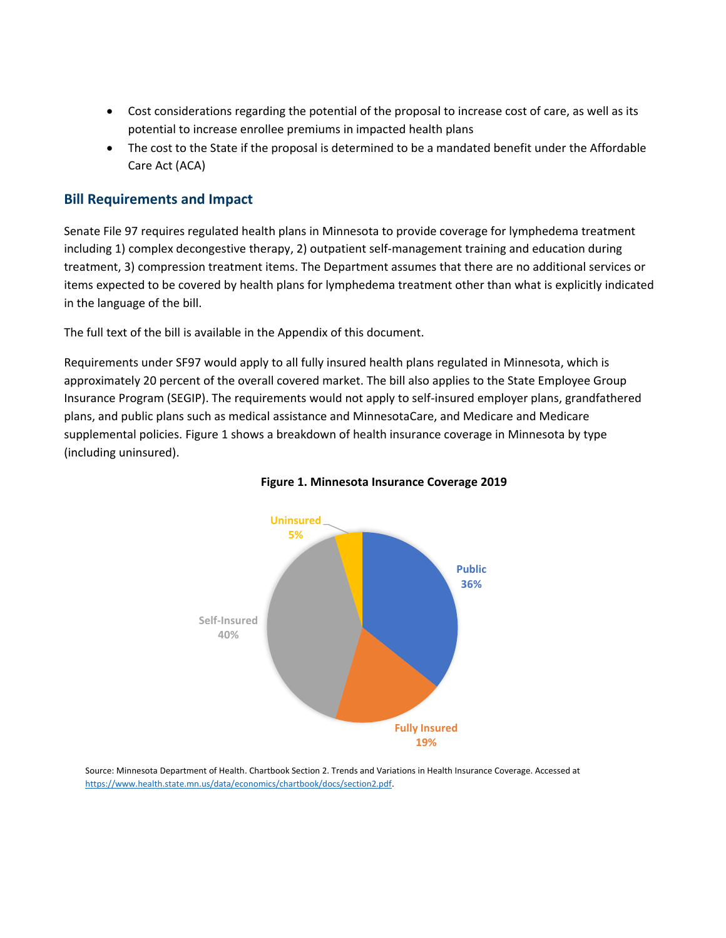- Cost considerations regarding the potential of the proposal to increase cost of care, as well as its potential to increase enrollee premiums in impacted health plans
- The cost to the State if the proposal is determined to be a mandated benefit under the Affordable Care Act (ACA)

#### <span id="page-3-0"></span>**Bill Requirements and Impact**

Senate File 97 requires regulated health plans in Minnesota to provide coverage for lymphedema treatment including 1) complex decongestive therapy, 2) outpatient self-management training and education during treatment, 3) compression treatment items. The Department assumes that there are no additional services or items expected to be covered by health plans for lymphedema treatment other than what is explicitly indicated in the language of the bill.

The full text of the bill is available in the Appendix of this document.

Requirements under SF97 would apply to all fully insured health plans regulated in Minnesota, which is approximately 20 percent of the overall covered market. The bill also applies to the State Employee Group Insurance Program (SEGIP). The requirements would not apply to self-insured employer plans, grandfathered plans, and public plans such as medical assistance and MinnesotaCare, and Medicare and Medicare supplemental policies. Figure 1 shows a breakdown of health insurance coverage in Minnesota by type (including uninsured).



#### **Figure 1. Minnesota Insurance Coverage 2019**

Source: Minnesota Department of Health. Chartbook Section 2. Trends and Variations in Health Insurance Coverage. Accessed at [https://www.health.state.mn.us/data/economics/chartbook/docs/section2.pdf.](https://www.health.state.mn.us/data/economics/chartbook/docs/section2.pdf)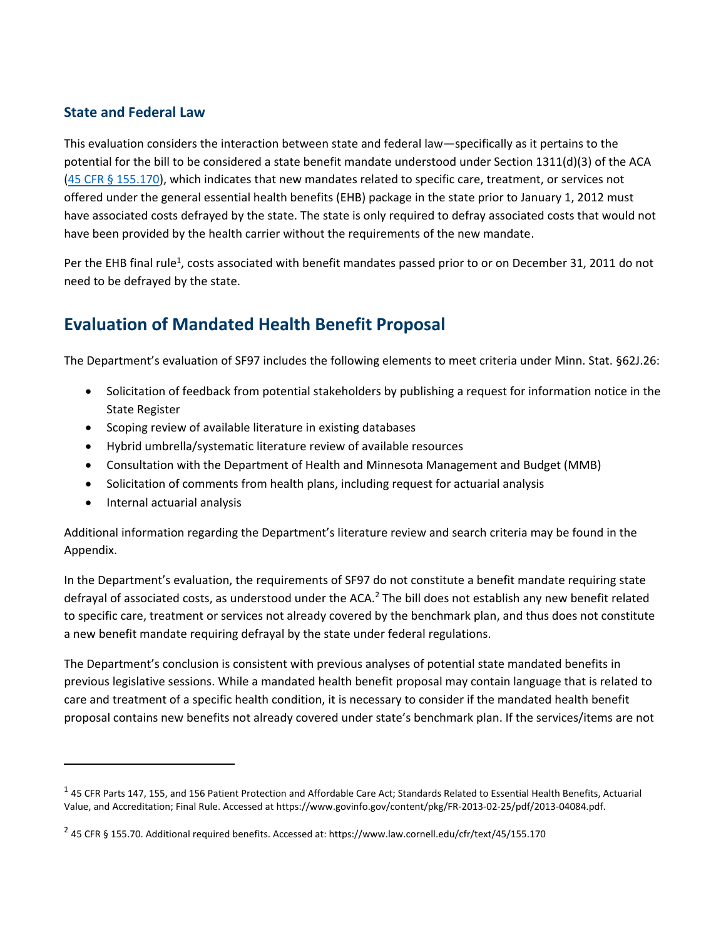#### <span id="page-4-0"></span>**State and Federal Law**

This evaluation considers the interaction between state and federal law—specifically as it pertains to the potential for the bill to be considered a state benefit mandate understood under Section 1311(d)(3) of the ACA [\(45 CFR § 155.170\)](https://www.law.cornell.edu/cfr/text/45/155.170), which indicates that new mandates related to specific care, treatment, or services not offered under the general essential health benefits (EHB) package in the state prior to January 1, 2012 must have associated costs defrayed by the state. The state is only required to defray associated costs that would not have been provided by the health carrier without the requirements of the new mandate.

Per the EHB final rule<sup>1</sup>, costs associated with benefit mandates passed prior to or on December 31, 2011 do not need to be defrayed by the state.

## <span id="page-4-1"></span>**Evaluation of Mandated Health Benefit Proposal**

The Department's evaluation of SF97 includes the following elements to meet criteria under Minn. Stat. §62J.26:

- Solicitation of feedback from potential stakeholders by publishing a request for information notice in the State Register
- Scoping review of available literature in existing databases
- Hybrid umbrella/systematic literature review of available resources
- Consultation with the Department of Health and Minnesota Management and Budget (MMB)
- Solicitation of comments from health plans, including request for actuarial analysis
- Internal actuarial analysis

Additional information regarding the Department's literature review and search criteria may be found in the Appendix.

In the Department's evaluation, the requirements of SF97 do not constitute a benefit mandate requiring state defrayal of associated costs, as understood under the ACA.<sup>2</sup> The bill does not establish any new benefit related to specific care, treatment or services not already covered by the benchmark plan, and thus does not constitute a new benefit mandate requiring defrayal by the state under federal regulations.

The Department's conclusion is consistent with previous analyses of potential state mandated benefits in previous legislative sessions. While a mandated health benefit proposal may contain language that is related to care and treatment of a specific health condition, it is necessary to consider if the mandated health benefit proposal contains new benefits not already covered under state's benchmark plan. If the services/items are not

 $^1$  45 CFR Parts 147, 155, and 156 Patient Protection and Affordable Care Act; Standards Related to Essential Health Benefits, Actuarial Value, and Accreditation; Final Rule. Accessed at https://www.govinfo.gov/content/pkg/FR-2013-02-25/pdf/2013-04084.pdf.

 $^2$  45 CFR § 155.70. Additional required benefits. Accessed at: https://www.law.cornell.edu/cfr/text/45/155.170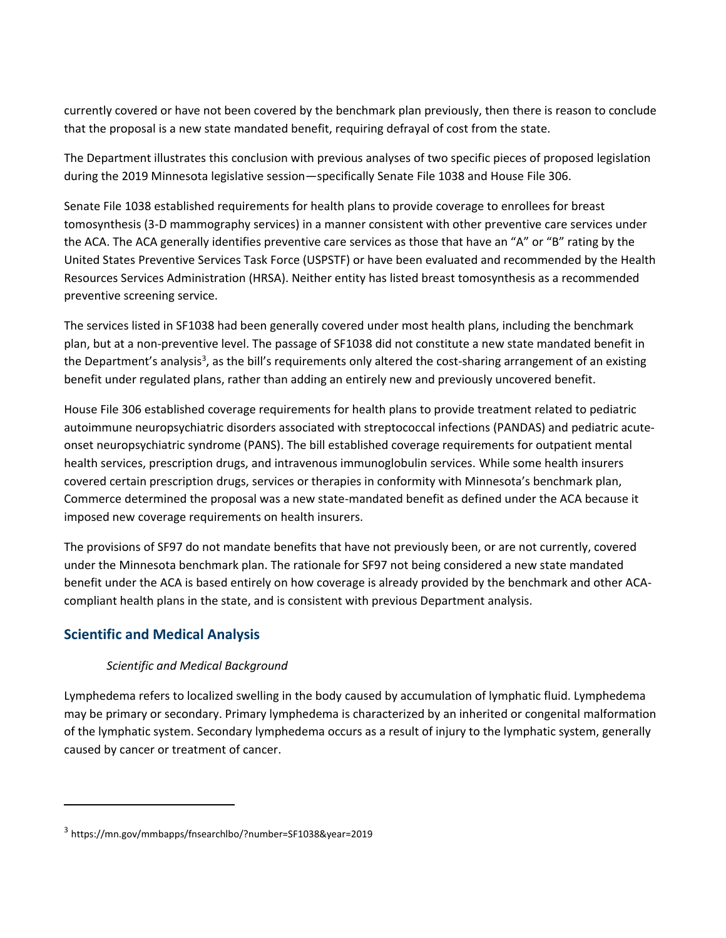currently covered or have not been covered by the benchmark plan previously, then there is reason to conclude that the proposal is a new state mandated benefit, requiring defrayal of cost from the state.

The Department illustrates this conclusion with previous analyses of two specific pieces of proposed legislation during the 2019 Minnesota legislative session—specifically Senate File 1038 and House File 306.

Senate File 1038 established requirements for health plans to provide coverage to enrollees for breast tomosynthesis (3-D mammography services) in a manner consistent with other preventive care services under the ACA. The ACA generally identifies preventive care services as those that have an "A" or "B" rating by the United States Preventive Services Task Force (USPSTF) or have been evaluated and recommended by the Health Resources Services Administration (HRSA). Neither entity has listed breast tomosynthesis as a recommended preventive screening service.

The services listed in SF1038 had been generally covered under most health plans, including the benchmark plan, but at a non-preventive level. The passage of SF1038 did not constitute a new state mandated benefit in the Department's analysis<sup>3</sup>, as the bill's requirements only altered the cost-sharing arrangement of an existing benefit under regulated plans, rather than adding an entirely new and previously uncovered benefit.

House File 306 established coverage requirements for health plans to provide treatment related to pediatric autoimmune neuropsychiatric disorders associated with streptococcal infections (PANDAS) and pediatric acuteonset neuropsychiatric syndrome (PANS). The bill established coverage requirements for outpatient mental health services, prescription drugs, and intravenous immunoglobulin services. While some health insurers covered certain prescription drugs, services or therapies in conformity with Minnesota's benchmark plan, Commerce determined the proposal was a new state-mandated benefit as defined under the ACA because it imposed new coverage requirements on health insurers.

The provisions of SF97 do not mandate benefits that have not previously been, or are not currently, covered under the Minnesota benchmark plan. The rationale for SF97 not being considered a new state mandated benefit under the ACA is based entirely on how coverage is already provided by the benchmark and other ACAcompliant health plans in the state, and is consistent with previous Department analysis.

#### <span id="page-5-0"></span>**Scientific and Medical Analysis**

#### *Scientific and Medical Background*

Lymphedema refers to localized swelling in the body caused by accumulation of lymphatic fluid. Lymphedema may be primary or secondary. Primary lymphedema is characterized by an inherited or congenital malformation of the lymphatic system. Secondary lymphedema occurs as a result of injury to the lymphatic system, generally caused by cancer or treatment of cancer.

<sup>3</sup> https://mn.gov/mmbapps/fnsearchlbo/?number=SF1038&year=2019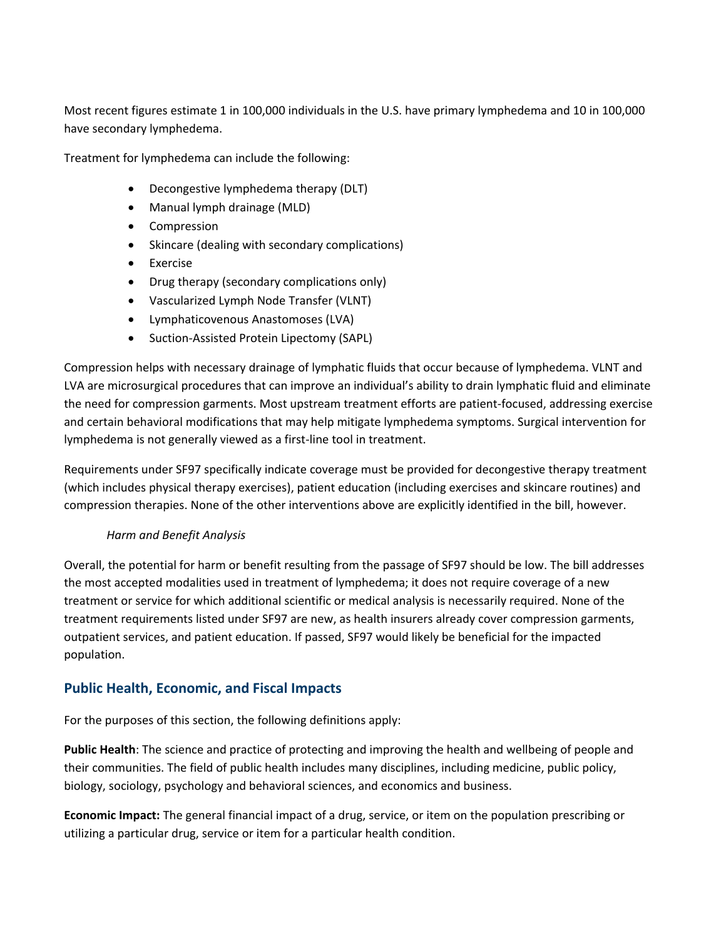Most recent figures estimate 1 in 100,000 individuals in the U.S. have primary lymphedema and 10 in 100,000 have secondary lymphedema.

Treatment for lymphedema can include the following:

- Decongestive lymphedema therapy (DLT)
- Manual lymph drainage (MLD)
- Compression
- Skincare (dealing with secondary complications)
- Exercise
- Drug therapy (secondary complications only)
- Vascularized Lymph Node Transfer (VLNT)
- Lymphaticovenous Anastomoses (LVA)
- Suction-Assisted Protein Lipectomy (SAPL)

Compression helps with necessary drainage of lymphatic fluids that occur because of lymphedema. VLNT and LVA are microsurgical procedures that can improve an individual's ability to drain lymphatic fluid and eliminate the need for compression garments. Most upstream treatment efforts are patient-focused, addressing exercise and certain behavioral modifications that may help mitigate lymphedema symptoms. Surgical intervention for lymphedema is not generally viewed as a first-line tool in treatment.

Requirements under SF97 specifically indicate coverage must be provided for decongestive therapy treatment (which includes physical therapy exercises), patient education (including exercises and skincare routines) and compression therapies. None of the other interventions above are explicitly identified in the bill, however.

#### *Harm and Benefit Analysis*

Overall, the potential for harm or benefit resulting from the passage of SF97 should be low. The bill addresses the most accepted modalities used in treatment of lymphedema; it does not require coverage of a new treatment or service for which additional scientific or medical analysis is necessarily required. None of the treatment requirements listed under SF97 are new, as health insurers already cover compression garments, outpatient services, and patient education. If passed, SF97 would likely be beneficial for the impacted population.

#### <span id="page-6-0"></span>**Public Health, Economic, and Fiscal Impacts**

For the purposes of this section, the following definitions apply:

**Public Health**: The science and practice of protecting and improving the health and wellbeing of people and their communities. The field of public health includes many disciplines, including medicine, public policy, biology, sociology, psychology and behavioral sciences, and economics and business.

**Economic Impact:** The general financial impact of a drug, service, or item on the population prescribing or utilizing a particular drug, service or item for a particular health condition.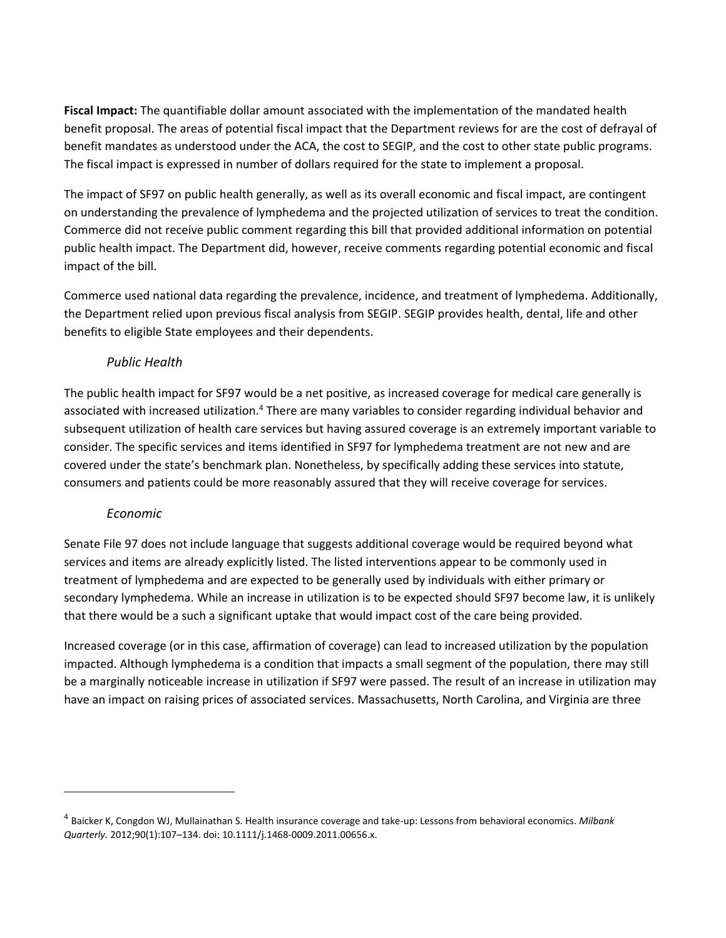**Fiscal Impact:** The quantifiable dollar amount associated with the implementation of the mandated health benefit proposal. The areas of potential fiscal impact that the Department reviews for are the cost of defrayal of benefit mandates as understood under the ACA, the cost to SEGIP, and the cost to other state public programs. The fiscal impact is expressed in number of dollars required for the state to implement a proposal.

The impact of SF97 on public health generally, as well as its overall economic and fiscal impact, are contingent on understanding the prevalence of lymphedema and the projected utilization of services to treat the condition. Commerce did not receive public comment regarding this bill that provided additional information on potential public health impact. The Department did, however, receive comments regarding potential economic and fiscal impact of the bill.

Commerce used national data regarding the prevalence, incidence, and treatment of lymphedema. Additionally, the Department relied upon previous fiscal analysis from SEGIP. SEGIP provides health, dental, life and other benefits to eligible State employees and their dependents.

#### *Public Health*

The public health impact for SF97 would be a net positive, as increased coverage for medical care generally is associated with increased utilization.<sup>4</sup> There are many variables to consider regarding individual behavior and subsequent utilization of health care services but having assured coverage is an extremely important variable to consider. The specific services and items identified in SF97 for lymphedema treatment are not new and are covered under the state's benchmark plan. Nonetheless, by specifically adding these services into statute, consumers and patients could be more reasonably assured that they will receive coverage for services.

#### *Economic*

Senate File 97 does not include language that suggests additional coverage would be required beyond what services and items are already explicitly listed. The listed interventions appear to be commonly used in treatment of lymphedema and are expected to be generally used by individuals with either primary or secondary lymphedema. While an increase in utilization is to be expected should SF97 become law, it is unlikely that there would be a such a significant uptake that would impact cost of the care being provided.

Increased coverage (or in this case, affirmation of coverage) can lead to increased utilization by the population impacted. Although lymphedema is a condition that impacts a small segment of the population, there may still be a marginally noticeable increase in utilization if SF97 were passed. The result of an increase in utilization may have an impact on raising prices of associated services. Massachusetts, North Carolina, and Virginia are three

<sup>4</sup> Baicker K, Congdon WJ, Mullainathan S. Health insurance coverage and take-up: Lessons from behavioral economics. *Milbank Quarterly.* 2012;90(1):107–134. doi: 10.1111/j.1468-0009.2011.00656.x.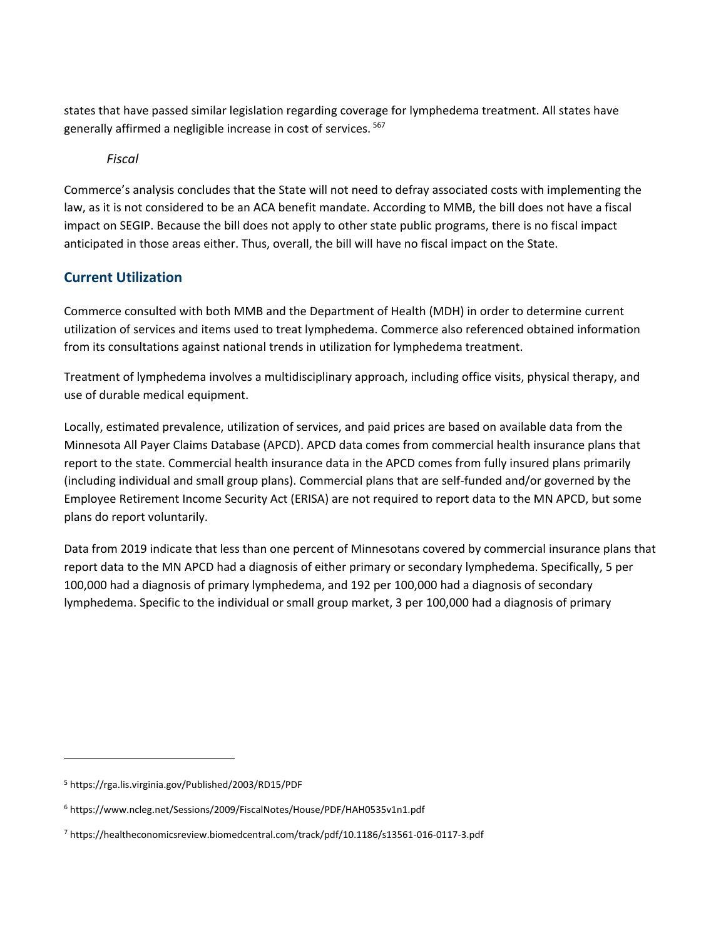states that have passed similar legislation regarding coverage for lymphedema treatment. All states have generally affirmed a negligible increase in cost of services. <sup>567</sup>

*Fiscal*

Commerce's analysis concludes that the State will not need to defray associated costs with implementing the law, as it is not considered to be an ACA benefit mandate. According to MMB, the bill does not have a fiscal impact on SEGIP. Because the bill does not apply to other state public programs, there is no fiscal impact anticipated in those areas either. Thus, overall, the bill will have no fiscal impact on the State.

#### <span id="page-8-0"></span>**Current Utilization**

Commerce consulted with both MMB and the Department of Health (MDH) in order to determine current utilization of services and items used to treat lymphedema. Commerce also referenced obtained information from its consultations against national trends in utilization for lymphedema treatment.

Treatment of lymphedema involves a multidisciplinary approach, including office visits, physical therapy, and use of durable medical equipment.

Locally, estimated prevalence, utilization of services, and paid prices are based on available data from the Minnesota All Payer Claims Database (APCD). APCD data comes from commercial health insurance plans that report to the state. Commercial health insurance data in the APCD comes from fully insured plans primarily (including individual and small group plans). Commercial plans that are self-funded and/or governed by the Employee Retirement Income Security Act (ERISA) are not required to report data to the MN APCD, but some plans do report voluntarily.

Data from 2019 indicate that less than one percent of Minnesotans covered by commercial insurance plans that report data to the MN APCD had a diagnosis of either primary or secondary lymphedema. Specifically, 5 per 100,000 had a diagnosis of primary lymphedema, and 192 per 100,000 had a diagnosis of secondary lymphedema. Specific to the individual or small group market, 3 per 100,000 had a diagnosis of primary

<sup>5</sup> https://rga.lis.virginia.gov/Published/2003/RD15/PDF

<sup>6</sup> https://www.ncleg.net/Sessions/2009/FiscalNotes/House/PDF/HAH0535v1n1.pdf

<sup>7</sup> https://healtheconomicsreview.biomedcentral.com/track/pdf/10.1186/s13561-016-0117-3.pdf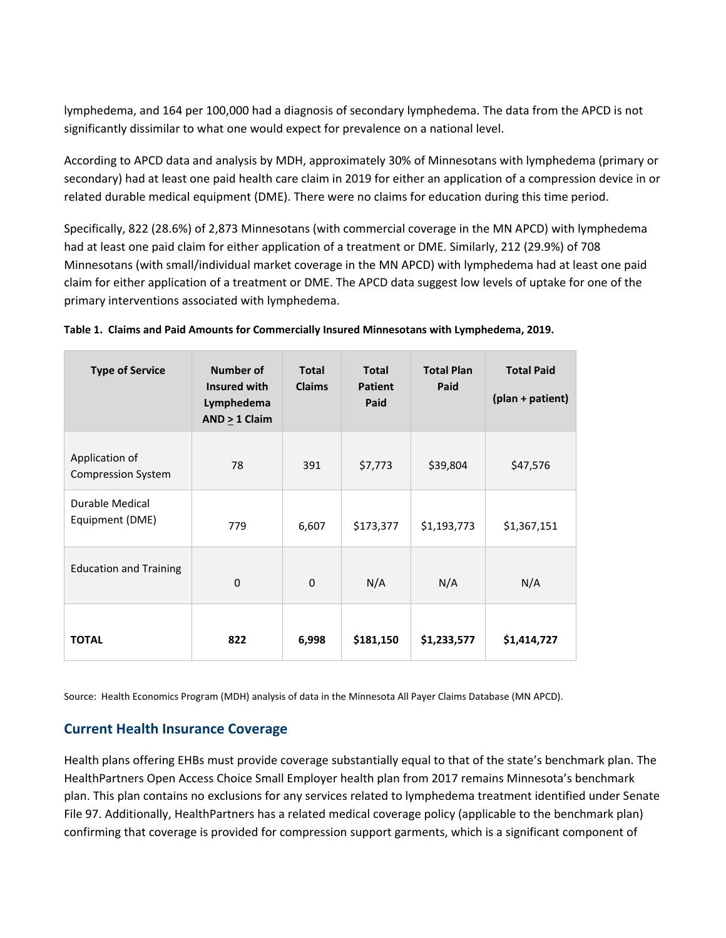lymphedema, and 164 per 100,000 had a diagnosis of secondary lymphedema. The data from the APCD is not significantly dissimilar to what one would expect for prevalence on a national level.

According to APCD data and analysis by MDH, approximately 30% of Minnesotans with lymphedema (primary or secondary) had at least one paid health care claim in 2019 for either an application of a compression device in or related durable medical equipment (DME). There were no claims for education during this time period.

Specifically, 822 (28.6%) of 2,873 Minnesotans (with commercial coverage in the MN APCD) with lymphedema had at least one paid claim for either application of a treatment or DME. Similarly, 212 (29.9%) of 708 Minnesotans (with small/individual market coverage in the MN APCD) with lymphedema had at least one paid claim for either application of a treatment or DME. The APCD data suggest low levels of uptake for one of the primary interventions associated with lymphedema.

| <b>Type of Service</b>                      | <b>Number of</b><br>Insured with<br>Lymphedema<br>$AND > 1$ Claim | <b>Total</b><br><b>Claims</b> | <b>Total</b><br><b>Patient</b><br>Paid | <b>Total Plan</b><br>Paid | <b>Total Paid</b><br>(plan + patient) |
|---------------------------------------------|-------------------------------------------------------------------|-------------------------------|----------------------------------------|---------------------------|---------------------------------------|
| Application of<br><b>Compression System</b> | 78                                                                | 391                           | \$7,773                                | \$39,804                  | \$47,576                              |
| <b>Durable Medical</b><br>Equipment (DME)   | 779                                                               | 6,607                         | \$173,377                              | \$1,193,773               | \$1,367,151                           |
| <b>Education and Training</b>               | $\mathbf 0$                                                       | 0                             | N/A                                    | N/A                       | N/A                                   |
| <b>TOTAL</b>                                | 822                                                               | 6,998                         | \$181,150                              | \$1,233,577               | \$1,414,727                           |

|  |  | Table 1. Claims and Paid Amounts for Commercially Insured Minnesotans with Lymphedema, 2019. |  |
|--|--|----------------------------------------------------------------------------------------------|--|
|  |  |                                                                                              |  |

Source: Health Economics Program (MDH) analysis of data in the Minnesota All Payer Claims Database (MN APCD).

#### <span id="page-9-0"></span>**Current Health Insurance Coverage**

Health plans offering EHBs must provide coverage substantially equal to that of the state's benchmark plan. The HealthPartners Open Access Choice Small Employer health plan from 2017 remains Minnesota's benchmark plan. This plan contains no exclusions for any services related to lymphedema treatment identified under Senate File 97. Additionally, HealthPartners has a related medical coverage policy (applicable to the benchmark plan) confirming that coverage is provided for compression support garments, which is a significant component of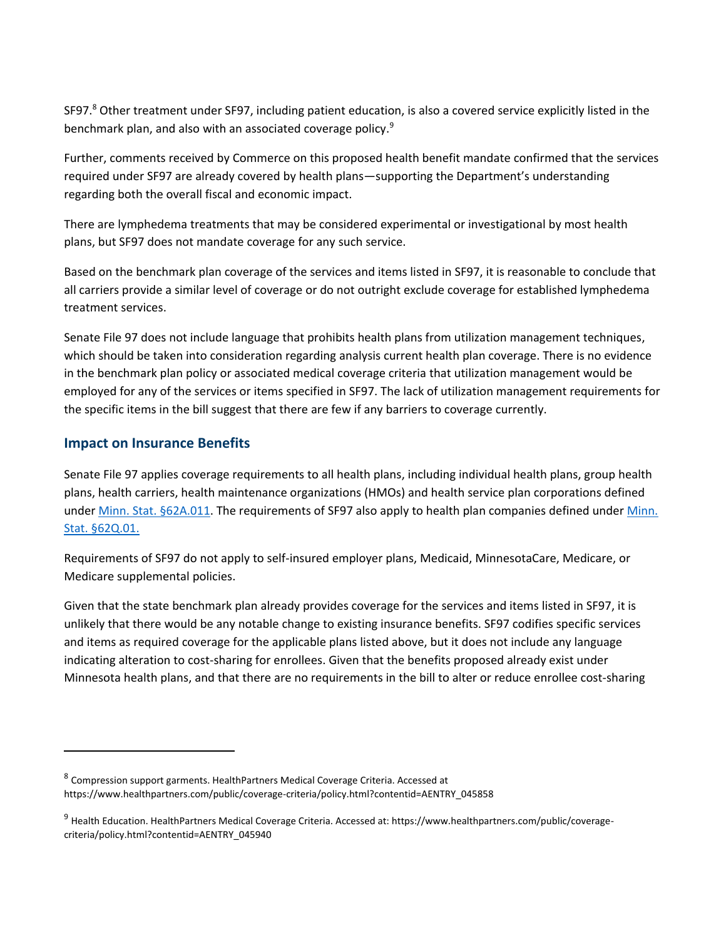SF97.<sup>8</sup> Other treatment under SF97, including patient education, is also a covered service explicitly listed in the benchmark plan, and also with an associated coverage policy.<sup>9</sup>

Further, comments received by Commerce on this proposed health benefit mandate confirmed that the services required under SF97 are already covered by health plans—supporting the Department's understanding regarding both the overall fiscal and economic impact.

There are lymphedema treatments that may be considered experimental or investigational by most health plans, but SF97 does not mandate coverage for any such service.

Based on the benchmark plan coverage of the services and items listed in SF97, it is reasonable to conclude that all carriers provide a similar level of coverage or do not outright exclude coverage for established lymphedema treatment services.

Senate File 97 does not include language that prohibits health plans from utilization management techniques, which should be taken into consideration regarding analysis current health plan coverage. There is no evidence in the benchmark plan policy or associated medical coverage criteria that utilization management would be employed for any of the services or items specified in SF97. The lack of utilization management requirements for the specific items in the bill suggest that there are few if any barriers to coverage currently.

#### <span id="page-10-0"></span>**Impact on Insurance Benefits**

Senate File 97 applies coverage requirements to all health plans, including individual health plans, group health plans, health carriers, health maintenance organizations (HMOs) and health service plan corporations defined under [Minn. Stat. §62A.011.](https://www.revisor.mn.gov/statutes/cite/62A.011) The requirements of SF97 also apply to health plan companies defined under [Minn.](https://www.revisor.mn.gov/statutes/cite/62Q.01)  [Stat. §62Q.01.](https://www.revisor.mn.gov/statutes/cite/62Q.01)

Requirements of SF97 do not apply to self-insured employer plans, Medicaid, MinnesotaCare, Medicare, or Medicare supplemental policies.

Given that the state benchmark plan already provides coverage for the services and items listed in SF97, it is unlikely that there would be any notable change to existing insurance benefits. SF97 codifies specific services and items as required coverage for the applicable plans listed above, but it does not include any language indicating alteration to cost-sharing for enrollees. Given that the benefits proposed already exist under Minnesota health plans, and that there are no requirements in the bill to alter or reduce enrollee cost-sharing

<sup>&</sup>lt;sup>8</sup> Compression support garments. HealthPartners Medical Coverage Criteria. Accessed at https://www.healthpartners.com/public/coverage-criteria/policy.html?contentid=AENTRY\_045858

<sup>9</sup> Health Education. HealthPartners Medical Coverage Criteria. Accessed at: https://www.healthpartners.com/public/coveragecriteria/policy.html?contentid=AENTRY\_045940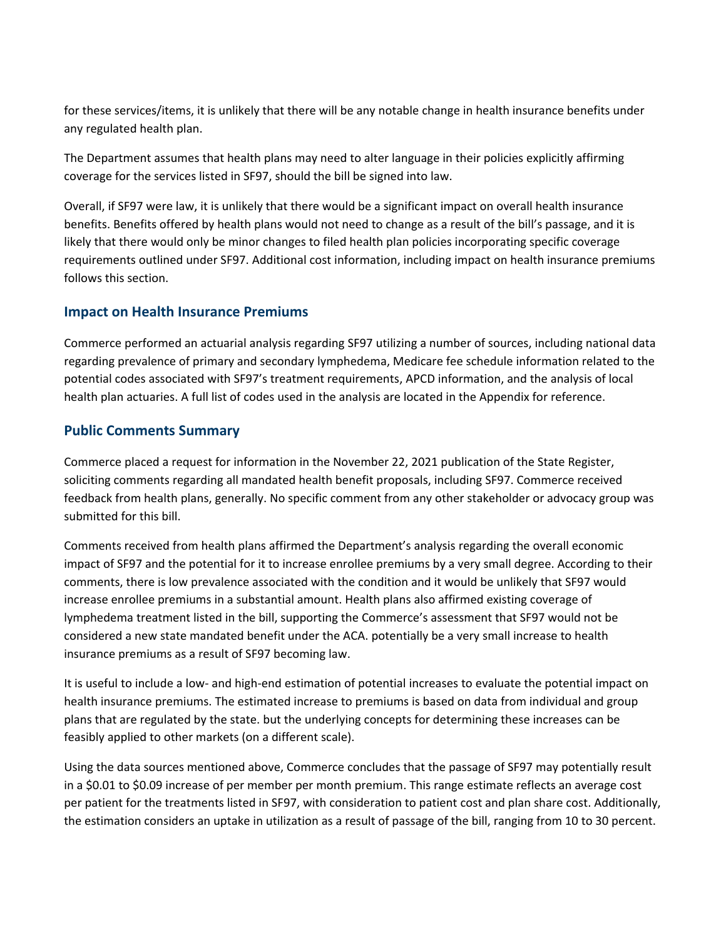for these services/items, it is unlikely that there will be any notable change in health insurance benefits under any regulated health plan.

The Department assumes that health plans may need to alter language in their policies explicitly affirming coverage for the services listed in SF97, should the bill be signed into law.

Overall, if SF97 were law, it is unlikely that there would be a significant impact on overall health insurance benefits. Benefits offered by health plans would not need to change as a result of the bill's passage, and it is likely that there would only be minor changes to filed health plan policies incorporating specific coverage requirements outlined under SF97. Additional cost information, including impact on health insurance premiums follows this section.

#### <span id="page-11-0"></span>**Impact on Health Insurance Premiums**

Commerce performed an actuarial analysis regarding SF97 utilizing a number of sources, including national data regarding prevalence of primary and secondary lymphedema, Medicare fee schedule information related to the potential codes associated with SF97's treatment requirements, APCD information, and the analysis of local health plan actuaries. A full list of codes used in the analysis are located in the Appendix for reference.

#### <span id="page-11-1"></span>**Public Comments Summary**

Commerce placed a request for information in the November 22, 2021 publication of the State Register, soliciting comments regarding all mandated health benefit proposals, including SF97. Commerce received feedback from health plans, generally. No specific comment from any other stakeholder or advocacy group was submitted for this bill.

Comments received from health plans affirmed the Department's analysis regarding the overall economic impact of SF97 and the potential for it to increase enrollee premiums by a very small degree. According to their comments, there is low prevalence associated with the condition and it would be unlikely that SF97 would increase enrollee premiums in a substantial amount. Health plans also affirmed existing coverage of lymphedema treatment listed in the bill, supporting the Commerce's assessment that SF97 would not be considered a new state mandated benefit under the ACA. potentially be a very small increase to health insurance premiums as a result of SF97 becoming law.

It is useful to include a low- and high-end estimation of potential increases to evaluate the potential impact on health insurance premiums. The estimated increase to premiums is based on data from individual and group plans that are regulated by the state. but the underlying concepts for determining these increases can be feasibly applied to other markets (on a different scale).

Using the data sources mentioned above, Commerce concludes that the passage of SF97 may potentially result in a \$0.01 to \$0.09 increase of per member per month premium. This range estimate reflects an average cost per patient for the treatments listed in SF97, with consideration to patient cost and plan share cost. Additionally, the estimation considers an uptake in utilization as a result of passage of the bill, ranging from 10 to 30 percent.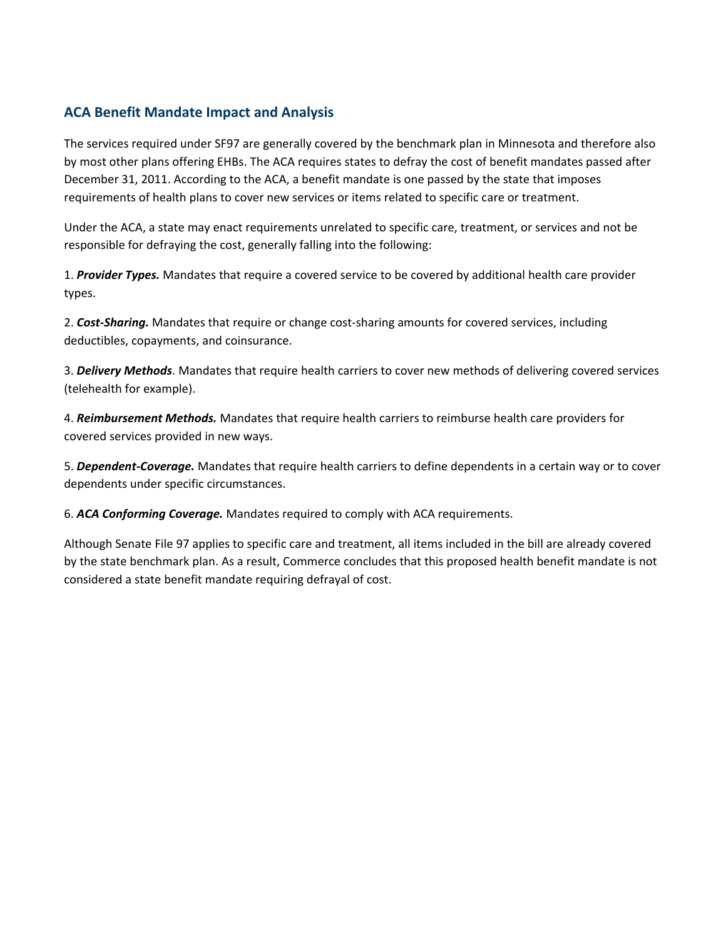#### <span id="page-12-0"></span>**ACA Benefit Mandate Impact and Analysis**

The services required under SF97 are generally covered by the benchmark plan in Minnesota and therefore also by most other plans offering EHBs. The ACA requires states to defray the cost of benefit mandates passed after December 31, 2011. According to the ACA, a benefit mandate is one passed by the state that imposes requirements of health plans to cover new services or items related to specific care or treatment.

Under the ACA, a state may enact requirements unrelated to specific care, treatment, or services and not be responsible for defraying the cost, generally falling into the following:

1. *Provider Types.* Mandates that require a covered service to be covered by additional health care provider types.

2. *Cost-Sharing.* Mandates that require or change cost-sharing amounts for covered services, including deductibles, copayments, and coinsurance.

3. *Delivery Methods*. Mandates that require health carriers to cover new methods of delivering covered services (telehealth for example).

4. *Reimbursement Methods.* Mandates that require health carriers to reimburse health care providers for covered services provided in new ways.

5. *Dependent-Coverage.* Mandates that require health carriers to define dependents in a certain way or to cover dependents under specific circumstances.

6. *ACA Conforming Coverage.* Mandates required to comply with ACA requirements.

Although Senate File 97 applies to specific care and treatment, all items included in the bill are already covered by the state benchmark plan. As a result, Commerce concludes that this proposed health benefit mandate is not considered a state benefit mandate requiring defrayal of cost.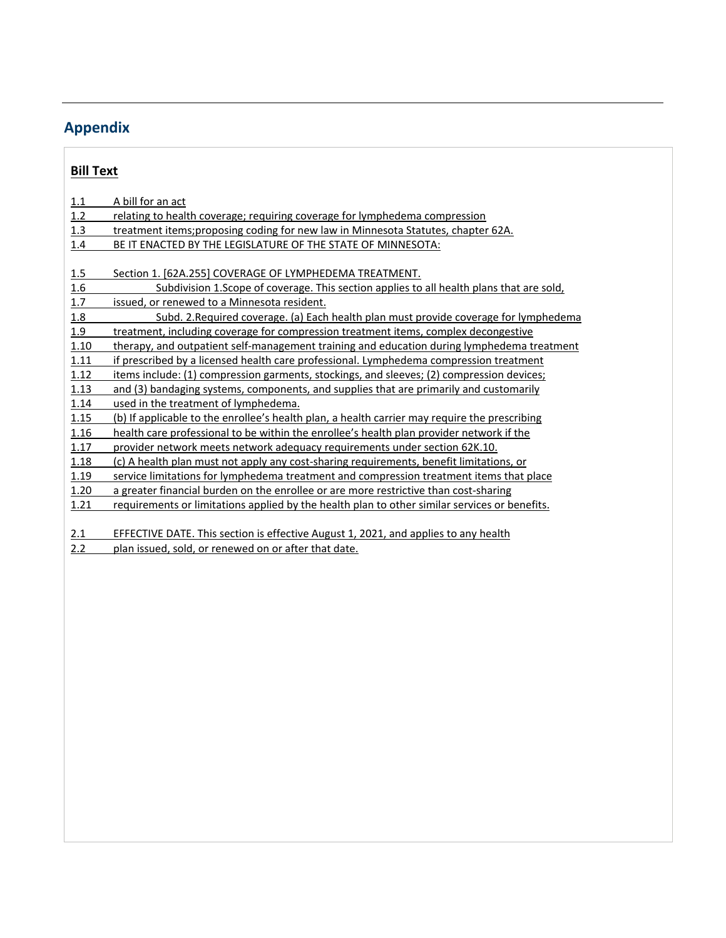## <span id="page-13-0"></span>**Appendix**

#### **Bill Text**

| 1.1  | A bill for an act                                                                             |
|------|-----------------------------------------------------------------------------------------------|
| 1.2  | relating to health coverage; requiring coverage for lymphedema compression                    |
| 1.3  | treatment items; proposing coding for new law in Minnesota Statutes, chapter 62A.             |
| 1.4  | BE IT ENACTED BY THE LEGISLATURE OF THE STATE OF MINNESOTA:                                   |
|      |                                                                                               |
| 1.5  | Section 1. [62A.255] COVERAGE OF LYMPHEDEMA TREATMENT.                                        |
| 1.6  | Subdivision 1. Scope of coverage. This section applies to all health plans that are sold,     |
| 1.7  | issued, or renewed to a Minnesota resident.                                                   |
| 1.8  | Subd. 2. Required coverage. (a) Each health plan must provide coverage for lymphedema         |
| 1.9  | treatment, including coverage for compression treatment items, complex decongestive           |
| 1.10 | therapy, and outpatient self-management training and education during lymphedema treatment    |
| 1.11 | if prescribed by a licensed health care professional. Lymphedema compression treatment        |
| 1.12 | items include: (1) compression garments, stockings, and sleeves; (2) compression devices;     |
| 1.13 | and (3) bandaging systems, components, and supplies that are primarily and customarily        |
| 1.14 | used in the treatment of lymphedema.                                                          |
| 1.15 | (b) If applicable to the enrollee's health plan, a health carrier may require the prescribing |
| 1.16 | health care professional to be within the enrollee's health plan provider network if the      |
| 1.17 | provider network meets network adequacy requirements under section 62K.10.                    |
| 1.18 | (c) A health plan must not apply any cost-sharing requirements, benefit limitations, or       |
| 1.19 | service limitations for lymphedema treatment and compression treatment items that place       |
| 1.20 | a greater financial burden on the enrollee or are more restrictive than cost-sharing          |
| 1.21 | requirements or limitations applied by the health plan to other similar services or benefits. |
|      |                                                                                               |
| 2.1  | EFFECTIVE DATE. This section is effective August 1, 2021, and applies to any health           |
| 2.2  | plan issued, sold, or renewed on or after that date.                                          |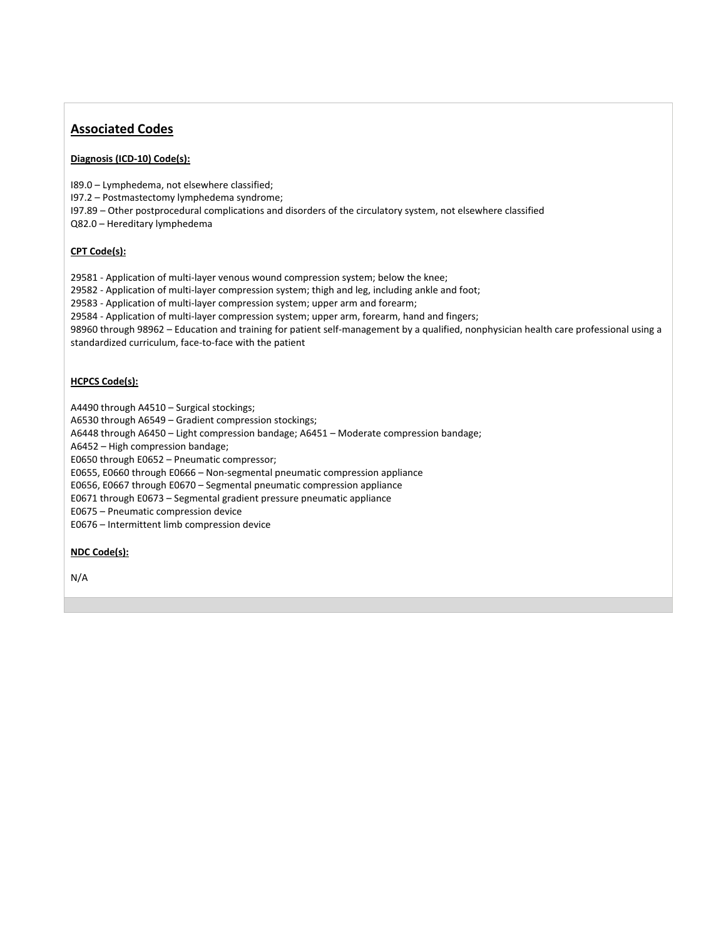#### **Associated Codes**

#### **Diagnosis (ICD-10) Code(s):**

I89.0 – Lymphedema, not elsewhere classified;

I97.2 – Postmastectomy lymphedema syndrome;

I97.89 – Other postprocedural complications and disorders of the circulatory system, not elsewhere classified

Q82.0 – Hereditary lymphedema

#### **CPT Code(s):**

29581 - Application of multi-layer venous wound compression system; below the knee;

29582 - Application of multi-layer compression system; thigh and leg, including ankle and foot;

29583 - Application of multi-layer compression system; upper arm and forearm;

29584 - Application of multi-layer compression system; upper arm, forearm, hand and fingers;

98960 through 98962 – Education and training for patient self-management by a qualified, nonphysician health care professional using a standardized curriculum, face-to-face with the patient

#### **HCPCS Code(s):**

A4490 through A4510 – Surgical stockings;

A6530 through A6549 – Gradient compression stockings;

A6448 through A6450 – Light compression bandage; A6451 – Moderate compression bandage;

A6452 – High compression bandage;

E0650 through E0652 – Pneumatic compressor;

E0655, E0660 through E0666 – Non-segmental pneumatic compression appliance

E0656, E0667 through E0670 – Segmental pneumatic compression appliance

E0671 through E0673 – Segmental gradient pressure pneumatic appliance

E0675 – Pneumatic compression device

E0676 – Intermittent limb compression device

#### **NDC Code(s):**

N/A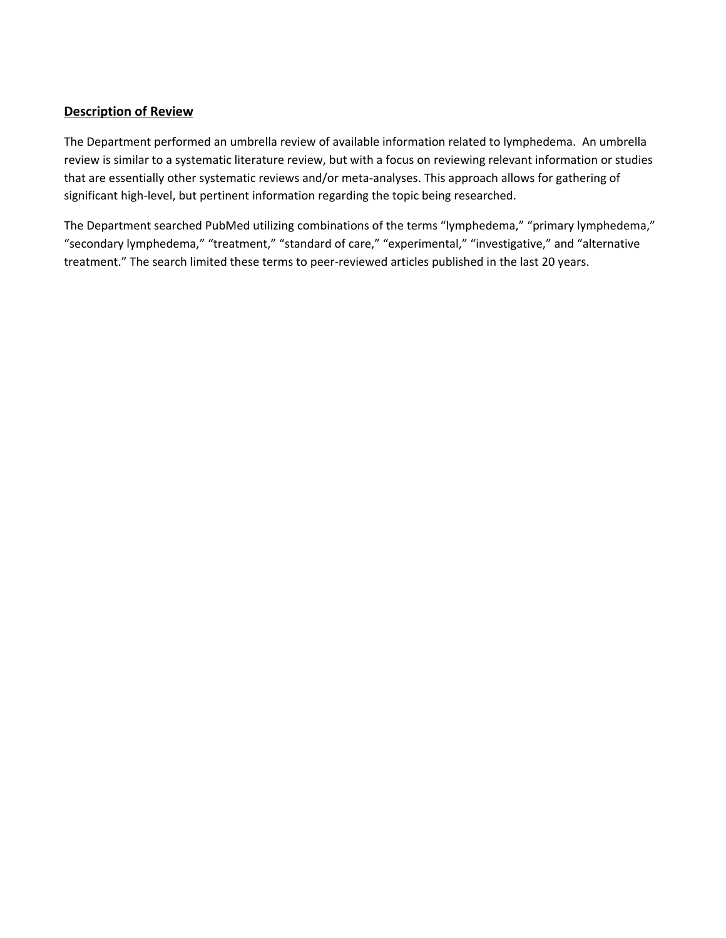#### **Description of Review**

The Department performed an umbrella review of available information related to lymphedema. An umbrella review is similar to a systematic literature review, but with a focus on reviewing relevant information or studies that are essentially other systematic reviews and/or meta-analyses. This approach allows for gathering of significant high-level, but pertinent information regarding the topic being researched.

The Department searched PubMed utilizing combinations of the terms "lymphedema," "primary lymphedema," "secondary lymphedema," "treatment," "standard of care," "experimental," "investigative," and "alternative treatment." The search limited these terms to peer-reviewed articles published in the last 20 years.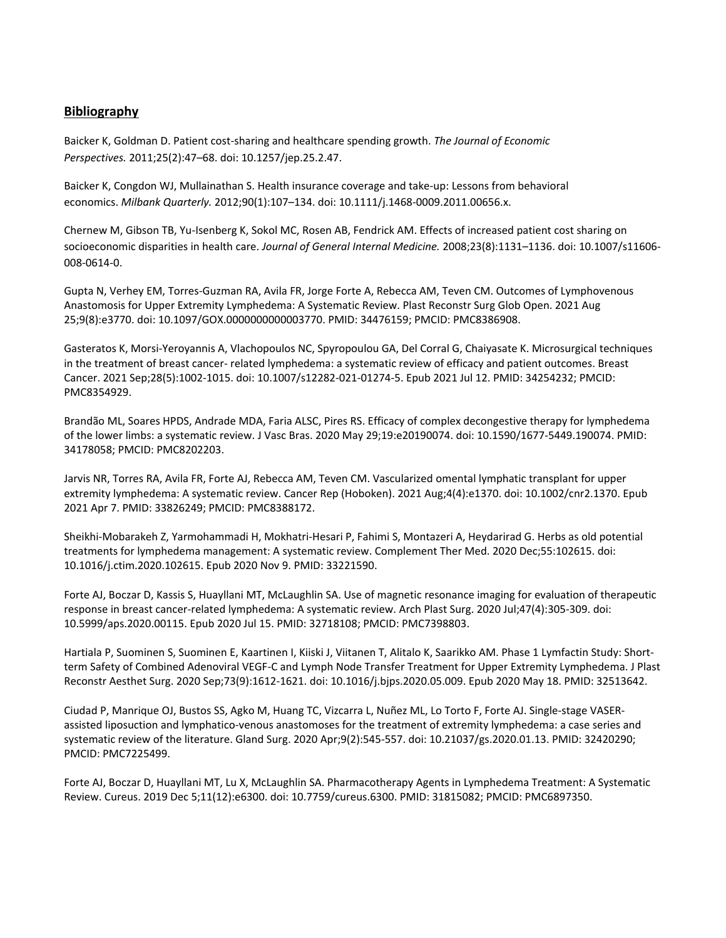#### **Bibliography**

Baicker K, Goldman D. Patient cost-sharing and healthcare spending growth. *The Journal of Economic Perspectives.* 2011;25(2):47–68. doi: 10.1257/jep.25.2.47.

Baicker K, Congdon WJ, Mullainathan S. Health insurance coverage and take-up: Lessons from behavioral economics. *Milbank Quarterly.* 2012;90(1):107–134. doi: 10.1111/j.1468-0009.2011.00656.x.

Chernew M, Gibson TB, Yu-Isenberg K, Sokol MC, Rosen AB, Fendrick AM. Effects of increased patient cost sharing on socioeconomic disparities in health care. *Journal of General Internal Medicine.* 2008;23(8):1131–1136. doi: 10.1007/s11606- 008-0614-0.

Gupta N, Verhey EM, Torres-Guzman RA, Avila FR, Jorge Forte A, Rebecca AM, Teven CM. Outcomes of Lymphovenous Anastomosis for Upper Extremity Lymphedema: A Systematic Review. Plast Reconstr Surg Glob Open. 2021 Aug 25;9(8):e3770. doi: 10.1097/GOX.0000000000003770. PMID: 34476159; PMCID: PMC8386908.

Gasteratos K, Morsi-Yeroyannis A, Vlachopoulos NC, Spyropoulou GA, Del Corral G, Chaiyasate K. Microsurgical techniques in the treatment of breast cancer- related lymphedema: a systematic review of efficacy and patient outcomes. Breast Cancer. 2021 Sep;28(5):1002-1015. doi: 10.1007/s12282-021-01274-5. Epub 2021 Jul 12. PMID: 34254232; PMCID: PMC8354929.

Brandão ML, Soares HPDS, Andrade MDA, Faria ALSC, Pires RS. Efficacy of complex decongestive therapy for lymphedema of the lower limbs: a systematic review. J Vasc Bras. 2020 May 29;19:e20190074. doi: 10.1590/1677-5449.190074. PMID: 34178058; PMCID: PMC8202203.

Jarvis NR, Torres RA, Avila FR, Forte AJ, Rebecca AM, Teven CM. Vascularized omental lymphatic transplant for upper extremity lymphedema: A systematic review. Cancer Rep (Hoboken). 2021 Aug;4(4):e1370. doi: 10.1002/cnr2.1370. Epub 2021 Apr 7. PMID: 33826249; PMCID: PMC8388172.

Sheikhi-Mobarakeh Z, Yarmohammadi H, Mokhatri-Hesari P, Fahimi S, Montazeri A, Heydarirad G. Herbs as old potential treatments for lymphedema management: A systematic review. Complement Ther Med. 2020 Dec;55:102615. doi: 10.1016/j.ctim.2020.102615. Epub 2020 Nov 9. PMID: 33221590.

Forte AJ, Boczar D, Kassis S, Huayllani MT, McLaughlin SA. Use of magnetic resonance imaging for evaluation of therapeutic response in breast cancer-related lymphedema: A systematic review. Arch Plast Surg. 2020 Jul;47(4):305-309. doi: 10.5999/aps.2020.00115. Epub 2020 Jul 15. PMID: 32718108; PMCID: PMC7398803.

Hartiala P, Suominen S, Suominen E, Kaartinen I, Kiiski J, Viitanen T, Alitalo K, Saarikko AM. Phase 1 Lymfactin Study: Shortterm Safety of Combined Adenoviral VEGF-C and Lymph Node Transfer Treatment for Upper Extremity Lymphedema. J Plast Reconstr Aesthet Surg. 2020 Sep;73(9):1612-1621. doi: 10.1016/j.bjps.2020.05.009. Epub 2020 May 18. PMID: 32513642.

Ciudad P, Manrique OJ, Bustos SS, Agko M, Huang TC, Vizcarra L, Nuñez ML, Lo Torto F, Forte AJ. Single-stage VASERassisted liposuction and lymphatico-venous anastomoses for the treatment of extremity lymphedema: a case series and systematic review of the literature. Gland Surg. 2020 Apr;9(2):545-557. doi: 10.21037/gs.2020.01.13. PMID: 32420290; PMCID: PMC7225499.

Forte AJ, Boczar D, Huayllani MT, Lu X, McLaughlin SA. Pharmacotherapy Agents in Lymphedema Treatment: A Systematic Review. Cureus. 2019 Dec 5;11(12):e6300. doi: 10.7759/cureus.6300. PMID: 31815082; PMCID: PMC6897350.